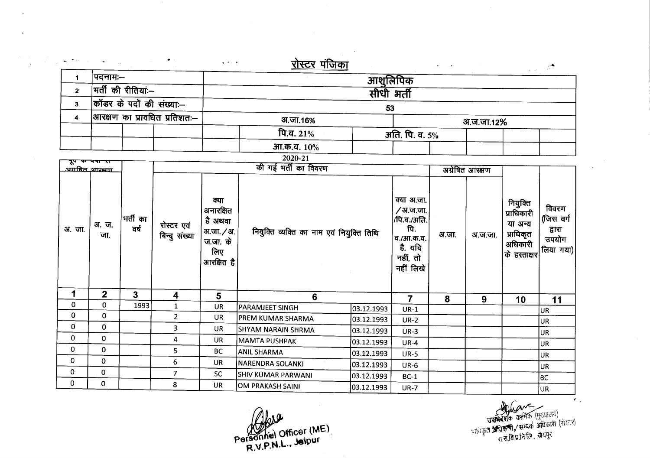| ساد با المائی                     |              |                     | $\bullet$ .<br><br>:        | $\alpha$ , $\alpha$ , $\alpha$ , $\alpha$                                   | <u>रोस्टर पंजिका</u>                      |                                                                                               |                 |         |                                                                           |                                                    | $\omega_{\rm{eff}}=25$ |
|-----------------------------------|--------------|---------------------|-----------------------------|-----------------------------------------------------------------------------|-------------------------------------------|-----------------------------------------------------------------------------------------------|-----------------|---------|---------------------------------------------------------------------------|----------------------------------------------------|------------------------|
| $\mathbf 1$                       | पदनामः–      |                     |                             |                                                                             | आशूलिपिक                                  |                                                                                               |                 |         |                                                                           |                                                    |                        |
| $\overline{2}$                    |              | भर्ती की रीतियां:-- |                             | सीधी भर्ती                                                                  |                                           |                                                                                               |                 |         |                                                                           |                                                    |                        |
| 3 <sup>1</sup>                    |              |                     | कॉडर के पदों की संख्या:--   |                                                                             |                                           |                                                                                               |                 |         |                                                                           |                                                    |                        |
| आरक्षण का प्रावधित प्रतिशतः—<br>4 |              |                     |                             |                                                                             | 53                                        |                                                                                               |                 |         |                                                                           |                                                    |                        |
|                                   |              |                     |                             | अ.जा.16%                                                                    |                                           |                                                                                               | अ.ज.जा.12%      |         |                                                                           |                                                    |                        |
|                                   |              |                     |                             |                                                                             | पि.व. 21%                                 | अति. पि. व. 5%                                                                                |                 |         |                                                                           |                                                    |                        |
|                                   |              |                     |                             |                                                                             | आ.क.व. 10%                                |                                                                                               |                 |         |                                                                           |                                                    |                        |
| पूप पर                            |              |                     |                             |                                                                             | 2020-21                                   |                                                                                               |                 |         |                                                                           |                                                    |                        |
| <u>अग्राबित आरम्भा</u>            |              |                     |                             | की गई भर्ती का विवरण                                                        |                                           |                                                                                               | अग्रेषित आरक्षण |         |                                                                           |                                                    |                        |
| अ. जा.                            | अ.ज.<br>जा.  | भर्ती का<br>वर्ष    | रोस्टर एवं<br>बिन्दु संख्या | क्या<br>अनारक्षित<br>है अथवा<br>अ.जा. / अ.<br>ज.जा. के<br>लिए<br>आरक्षित है | नियुक्ति व्यक्ति का नाम एवं नियुक्ति तिथि | क्या अ.जा.<br>∕अ.ज.जा.<br>/पि.व./अति.<br>पि.<br>व./आ.क.व.<br>है, यदि<br>नहीं, तो<br>नहीं लिखे | अ.जा.           | अ.ज.जा. | नियुक्ति<br>प्राधिकारी<br>या अन्य<br>प्राधिकृत<br>अधिकारी<br>के हस्ताक्षर | विवरण<br>(जिस वर्ग<br>द्वारा<br>उपयोग<br>लिया गया) |                        |
| 1                                 | $\mathbf{2}$ | 3                   | 4                           | 5                                                                           | 6                                         |                                                                                               | $\overline{7}$  | 8       | 9                                                                         | 10                                                 | 11                     |
| 0                                 | 0            | 1993                | $\mathbf{1}$                | UR                                                                          | <b>PARAMJEET SINGH</b>                    | 03.12.1993                                                                                    | $UR-1$          |         |                                                                           |                                                    | UR.                    |
| 0                                 | 0            |                     | $\overline{2}$              | <b>UR</b>                                                                   | PREM KUMAR SHARMA                         | 03.12.1993                                                                                    | $UR-2$          |         |                                                                           |                                                    | UR                     |
| 0                                 | $\mathbf 0$  |                     | 3                           | UR                                                                          | SHYAM NARAIN SHRMA                        | 03.12.1993                                                                                    | $UR-3$          |         |                                                                           |                                                    | UR                     |
| 0                                 | $\Omega$     |                     | 4                           | UR                                                                          | <b>MAMTA PUSHPAK</b>                      | 03.12.1993                                                                                    | $UR-4$          |         |                                                                           |                                                    | UR                     |
| 0                                 | $\mathbf 0$  |                     | 5                           | <b>BC</b>                                                                   | <b>ANIL SHARMA</b>                        | 03.12.1993                                                                                    | <b>UR-5</b>     |         |                                                                           |                                                    | UR                     |
| 0                                 | $\mathbf 0$  |                     | 6                           | <b>UR</b>                                                                   | NARENDRA SOLANKI                          | 03.12.1993                                                                                    | <b>UR-6</b>     |         |                                                                           |                                                    | UR                     |
| $\mathbf 0$                       | 0            |                     | $\overline{7}$              | <b>SC</b>                                                                   | <b>SHIV KUMAR PARWANI</b>                 | 03.12.1993                                                                                    | $BC-1$          |         |                                                                           |                                                    | BC                     |
| 0                                 | $\Omega$     |                     | 8                           | <b>UR</b>                                                                   | <b>OM PRAKASH SAINI</b>                   | 03.12.1993                                                                                    | <b>UR-7</b>     |         |                                                                           |                                                    | UR <sup>1</sup>        |

 $\sim$ 

 $\hat{\mathcal{A}}$ 

 $M_{\odot}$  officer (ME) Personner Sm. Jelpur

 $\mathcal{F}_{\mathcal{A}}$